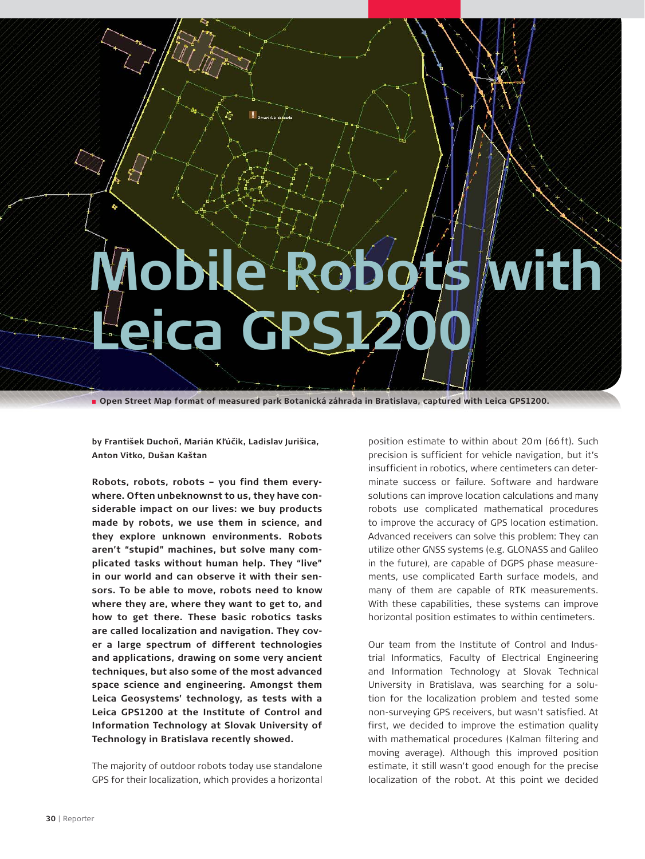## **Mobile Robots with Leica GPS1200**

**Open Street Map format of measured park Botanická záhrada in Bratislava, captured with Leica GPS1200.**

**by František Duchon, Marián Kl'úcik, Ladislav Jurišica, Anton Vitko, Dušan Kaštan**

**Robots, robots, robots – you find them everywhere. Often unbeknownst to us, they have considerable impact on our lives: we buy products made by robots, we use them in science, and they explore unknown environments. Robots aren't "stupid" machines, but solve many complicated tasks without human help. They "live" in our world and can observe it with their sensors. To be able to move, robots need to know where they are, where they want to get to, and how to get there. These basic robotics tasks are called localization and navigation. They cover a large spectrum of different technologies and applications, drawing on some very ancient techniques, but also some of the most advanced space science and engineering. Amongst them Leica Geosystems' technology, as tests with a Leica GPS1200 at the Institute of Control and Information Technology at Slovak University of Technology in Bratislava recently showed.**

The majority of outdoor robots today use standalone GPS for their localization, which provides a horizontal

position estimate to within about 20 m (66ft). Such precision is sufficient for vehicle navigation, but it's insufficient in robotics, where centimeters can determinate success or failure. Software and hardware solutions can improve location calculations and many robots use complicated mathematical procedures to improve the accuracy of GPS location estimation. Advanced receivers can solve this problem: They can utilize other GNSS systems (e.g. GLONASS and Galileo in the future), are capable of DGPS phase measurements, use complicated Earth surface models, and many of them are capable of RTK measurements. With these capabilities, these systems can improve horizontal position estimates to within centimeters.

Our team from the Institute of Control and Industrial Informatics, Faculty of Electrical Engineering and Information Technology at Slovak Technical University in Bratislava, was searching for a solution for the localization problem and tested some non-surveying GPS receivers, but wasn't satisfied. At first, we decided to improve the estimation quality with mathematical procedures (Kalman filtering and moving average). Although this improved position estimate, it still wasn't good enough for the precise localization of the robot. At this point we decided